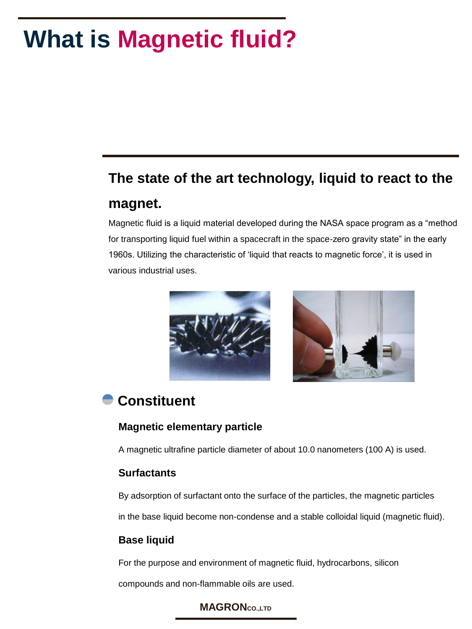## **What is Magnetic fluid?**

### **The state of the art technology, liquid to react to the magnet.**

Magnetic fluid is a liquid material developed during the NASA space program as a "method for transporting liquid fuel within a spacecraft in the space-zero gravity state" in the early 1960s. Utilizing the characteristic of "liquid that reacts to magnetic force", it is used in various industrial uses.



### **Constituent**

#### **Magnetic elementary particle**

A magnetic ultrafine particle diameter of about 10.0 nanometers (100 A) is used.

#### **Surfactants**

By adsorption of surfactant onto the surface of the particles, the magnetic particles

in the base liquid become non-condense and a stable colloidal liquid (magnetic fluid).

#### **Base liquid**

For the purpose and environment of magnetic fluid, hydrocarbons, silicon

compounds and non-flammable oils are used.

#### **MAGRONCO.,LTD**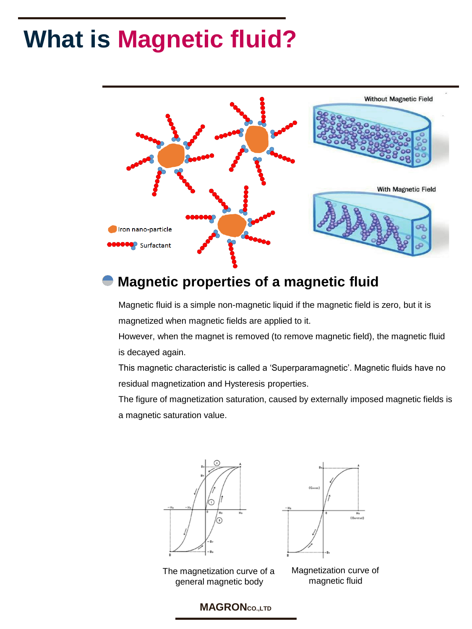## **What is Magnetic fluid?**



### **Magnetic properties of a magnetic fluid**

Magnetic fluid is a simple non-magnetic liquid if the magnetic field is zero, but it is magnetized when magnetic fields are applied to it.

However, when the magnet is removed (to remove magnetic field), the magnetic fluid is decayed again.

This magnetic characteristic is called a "Superparamagnetic". Magnetic fluids have no residual magnetization and Hysteresis properties.

The figure of magnetization saturation, caused by externally imposed magnetic fields is a magnetic saturation value.







Magnetization curve of magnetic fluid

#### **MAGRONCO.,LTD**